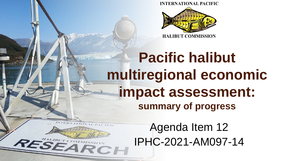**INTERNATIONAL PACIFIC** 



#### **Pacific halibut multiregional economic impact assessment: summary of progress**

**STANDARTSU** 

**SEAR** 

Agenda Item 12 IPHC-2021-AM097-14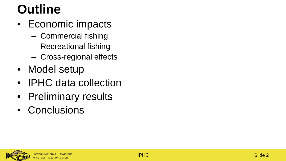#### **Outline**

- Economic impacts
	- Commercial fishing
	- Recreational fishing
	- Cross-regional effects
- Model setup
- IPHC data collection
- Preliminary results
- Conclusions

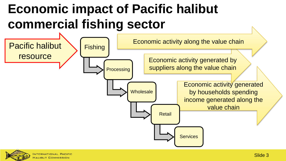#### **Economic impact of Pacific halibut commercial fishing sector**



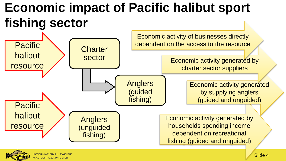#### **Economic impact of Pacific halibut sport fishing sector**



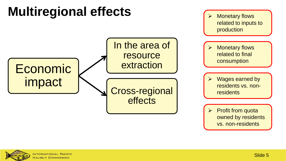

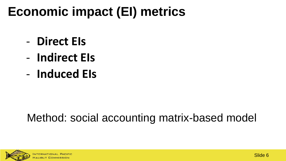#### **Economic impact (EI) metrics**

- **Direct EIs**
- **Indirect EIs**
- **Induced EIs**

#### Method: social accounting matrix-based model

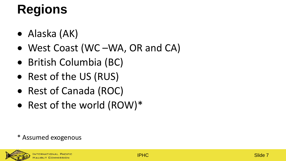## **Regions**

- Alaska (AK)
- West Coast (WC –WA, OR and CA)
- British Columbia (BC)
- Rest of the US (RUS)
- Rest of Canada (ROC)
- Rest of the world (ROW)\*

#### \* Assumed exogenous

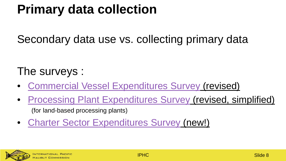#### **Primary data collection**

Secondary data use vs. collecting primary data

The surveys :

- [Commercial Vessel Expenditures Survey](http://iphcecon.westus2.cloudapp.azure.com:3838/azure_com/) (revised)
- [Processing Plant Expenditures Survey](http://iphcecon.westus2.cloudapp.azure.com:3838/azure_proc/) (revised, simplified) (for land-based processing plants)
- [Charter Sector Expenditures Survey](http://iphcecon.westus2.cloudapp.azure.com:3838/azure_charter/) (new!)

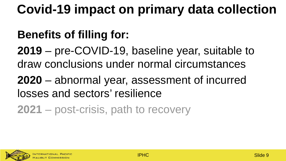#### **Covid-19 impact on primary data collection**

#### **Benefits of filling for:**

**2019** – pre-COVID-19, baseline year, suitable to draw conclusions under normal circumstances

**2020** – abnormal year, assessment of incurred losses and sectors' resilience

**2021** – post-crisis, path to recovery

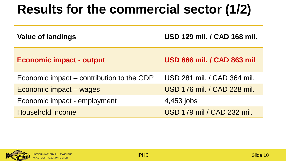#### **Results for the commercial sector (1/2)**

| <b>Value of landings</b>                  | USD 129 mil. / CAD 168 mil.       |
|-------------------------------------------|-----------------------------------|
| <b>Economic impact - output</b>           | <b>USD 666 mil. / CAD 863 mil</b> |
| Economic impact – contribution to the GDP | USD 281 mil. / CAD 364 mil.       |
| Economic impact – wages                   | USD 176 mil. / CAD 228 mil.       |
| Economic impact - employment              | 4,453 jobs                        |
| <b>Household income</b>                   | USD 179 mil / CAD 232 mil.        |

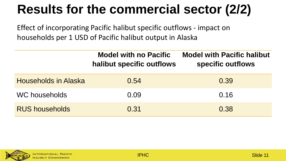### **Results for the commercial sector (2/2)**

Effect of incorporating Pacific halibut specific outflows - impact on households per 1 USD of Pacific halibut output in Alaska

|                             | <b>Model with no Pacific</b><br>halibut specific outflows | <b>Model with Pacific halibut</b><br>specific outflows |
|-----------------------------|-----------------------------------------------------------|--------------------------------------------------------|
| <b>Households in Alaska</b> | 0.54                                                      | 0.39                                                   |
| WC households               | 0.09                                                      | 0.16                                                   |
| <b>RUS households</b>       | 0.31                                                      | 0.38                                                   |

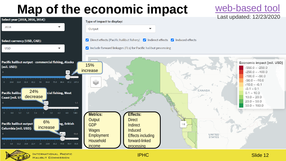# **Map of the economic impact** <u>[web-based tool](http://iphcecon.westus2.cloudapp.azure.com:3838/ModelApp_azure/)</u> Last updated: 12/23/2020



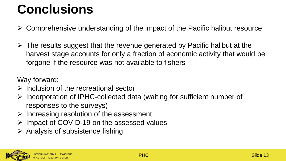#### **Conclusions**

- $\triangleright$  Comprehensive understanding of the impact of the Pacific halibut resource
- $\triangleright$  The results suggest that the revenue generated by Pacific halibut at the harvest stage accounts for only a fraction of economic activity that would be forgone if the resource was not available to fishers

Way forward:

- $\triangleright$  Inclusion of the recreational sector
- $\triangleright$  Incorporation of IPHC-collected data (waiting for sufficient number of responses to the surveys)
- $\triangleright$  Increasing resolution of the assessment
- $\triangleright$  Impact of COVID-19 on the assessed values
- $\triangleright$  Analysis of subsistence fishing

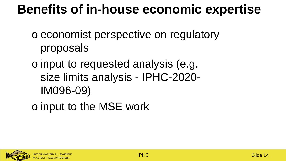#### **Benefits of in-house economic expertise**

- o economist perspective on regulatory proposals
- o input to requested analysis (e.g. size limits analysis - IPHC-2020- IM096-09)
- o input to the MSE work

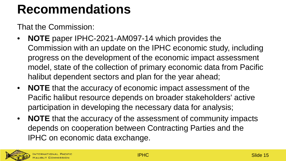#### **Recommendations**

That the Commission:

- **NOTE** paper IPHC-2021-AM097-14 which provides the Commission with an update on the IPHC economic study, including progress on the development of the economic impact assessment model, state of the collection of primary economic data from Pacific halibut dependent sectors and plan for the year ahead;
- **NOTE** that the accuracy of economic impact assessment of the Pacific halibut resource depends on broader stakeholders' active participation in developing the necessary data for analysis;
- **NOTE** that the accuracy of the assessment of community impacts depends on cooperation between Contracting Parties and the IPHC on economic data exchange.